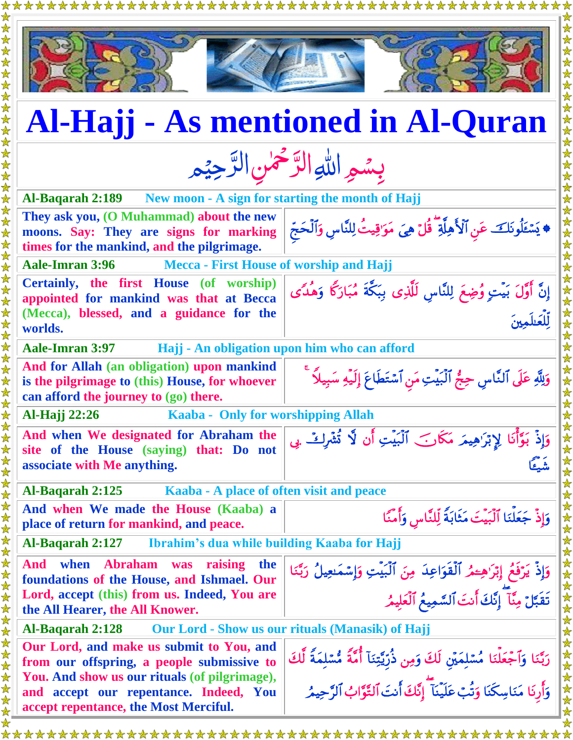|                                                                                                                                                                                         | <b>Al-Hajj - As mentioned in Al-Quran</b>                                                                                                                                |  |  |
|-----------------------------------------------------------------------------------------------------------------------------------------------------------------------------------------|--------------------------------------------------------------------------------------------------------------------------------------------------------------------------|--|--|
| بِسُمِ اللَّهِ الرَّحْمٰنِ الرَّحِيْمِ                                                                                                                                                  |                                                                                                                                                                          |  |  |
| New moon - A sign for starting the month of Hajj<br><b>Al-Baqarah 2:189</b>                                                                                                             |                                                                                                                                                                          |  |  |
| They ask you, (O Muhammad) about the new<br>moons. Say: They are signs for marking<br>times for the mankind, and the pilgrimage.                                                        | ♦ يَسْئَلُونَكَ عَنِ ٱلْأَهِلَّةِ ۖ قُلْ هِيَ مَوَٰقِيتُ لِلنَّاسِ وَٱلْحَجِّ                                                                                            |  |  |
| <b>Aale-Imran 3:96</b><br><b>Mecca - First House of worship and Hajj</b>                                                                                                                |                                                                                                                                                                          |  |  |
| Certainly, the first House (of worship)<br>appointed for mankind was that at Becca<br>(Mecca), blessed, and a guidance for the<br>worlds.                                               | إِنَّ أَوَّلَ بَيْتٍ وُضِعَ لِلنَّاسِ لَلَّذِى بِبَكَّةَ مُبَارَكًا وَهُدًى<br>للعَلِّمِينَ                                                                              |  |  |
| <b>Aale-Imran 3:97</b><br>Hajj - An obligation upon him who can afford                                                                                                                  |                                                                                                                                                                          |  |  |
| And for Allah (an obligation) upon mankind<br>is the pilgrimage to (this) House, for whoever<br>can afford the journey to (go) there.                                                   | وَلِلَّهِ عَلَى ٱلنَّاسِ حِجُّ ٱلۡبَيۡتِ مَنِ ٱسۡتَطَاعَ إِلَيۡهِ سَبِيلاً ۚ                                                                                             |  |  |
| Kaaba - Only for worshipping Allah<br><b>Al-Hajj</b> 22:26                                                                                                                              |                                                                                                                                                                          |  |  |
| And when We designated for Abraham the<br>site of the House (saying) that: Do not<br>associate with Me anything.                                                                        | وَإِذْ بَوَّأْنَا لِإِبْرَاهِيمَ مَكَانَ ٱلْبَيْتِ أَن لَّا تُشْرِكْ بِي<br>ر دیر<br>منبدء                                                                               |  |  |
| Al-Baqarah 2:125<br>Kaaba - A place of often visit and peace                                                                                                                            |                                                                                                                                                                          |  |  |
| And when We made the House (Kaaba) a<br>place of return for mankind, and peace.                                                                                                         | وَإِذْ جَعَلْنَا ٱلْبَيْتَ مَثَابَةً لِّلنَّاسِ وَأَمَّنَا                                                                                                               |  |  |
| Ibrahim's dua while building Kaaba for Hajj<br>Al-Baqarah 2:127                                                                                                                         |                                                                                                                                                                          |  |  |
| <b>Abraham</b><br>And<br>when<br>raising<br>was<br>the<br>foundations of the House, and Ishmael. Our<br>Lord, accept (this) from us. Indeed, You are<br>the All Hearer, the All Knower. | وَإِذْ يَرْفَعُ إِبْرَاهِــْهُ ٱلْقَوَاعِدَ مِنَ ٱلْبَيْتِ وَإِسْمَعِيلُ رَبَّنَا<br>ر<br>تَقَبَّلْ مِنَّا ۖ إِنَّكَ أَنتَ ٱلسَّمِيعُ ٱلْعَلِيمُ                         |  |  |
| Al-Bagarah 2:128<br><b>Our Lord - Show us our rituals (Manasik) of Hajj</b>                                                                                                             |                                                                                                                                                                          |  |  |
| Our Lord, and make us submit to You, and<br>from our offspring, a people submissive to<br>You. And show us our rituals (of pilgrimage),                                                 | رَبَّنَا وَٱجْعَلْنَا مُسْلِمَيْنِ لَكَ وَمِن ذُرِّيَّتِنَاۤ أُمَّةً مُّسْلِمَةً لَّكَ<br>وَأَرِنَا مَنَاسِكَنَا وَتُبَ عَلَيْنَا ۖ إِنَّكَ أَنتَ ٱلتَّوَّابُ ٱلرَّحِيمُ |  |  |
| and accept our repentance. Indeed, You<br>accept repentance, the Most Merciful.                                                                                                         |                                                                                                                                                                          |  |  |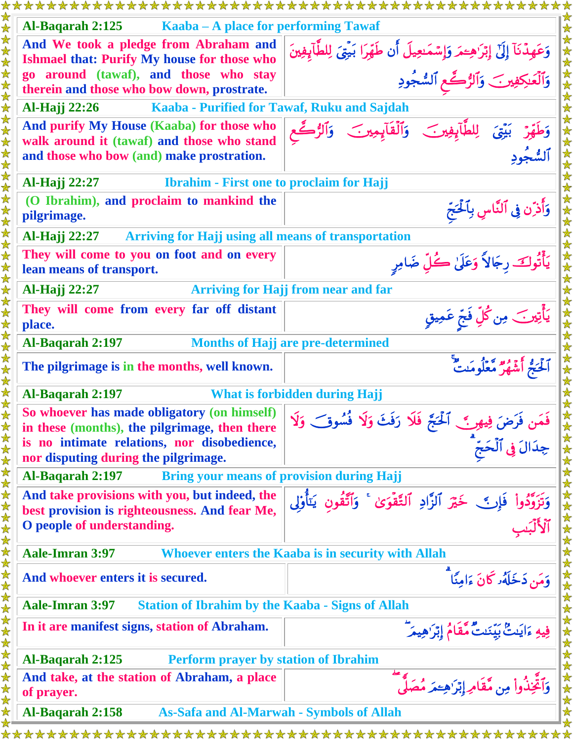| Al-Baqarah 2:125<br>Kaaba – A place for performing Tawaf                                                                                                                            |                                                                                                                                                                                   |  |
|-------------------------------------------------------------------------------------------------------------------------------------------------------------------------------------|-----------------------------------------------------------------------------------------------------------------------------------------------------------------------------------|--|
| And We took a pledge from Abraham and<br><b>Ishmael that: Purify My house for those who</b>                                                                                         | وَعَهِدْنَآ إِلَىٰٓ إِبْرَاهِــْمَرِ وَإِسْمَـٰعِيلَ أَن طَهِّرَا بَيْتِيَ لِلطَّآبِفِينَ                                                                                         |  |
| go around (tawaf), and those who stay<br>therein and those who bow down, prostrate.                                                                                                 | ۔<br>وَٱلۡعَـٰدِکِفِیر ۖ وَٱلرُّكَّعِ ٱلسُّجُودِ                                                                                                                                  |  |
| Al-Hajj 22:26<br>Kaaba - Purified for Tawaf, Ruku and Sajdah                                                                                                                        |                                                                                                                                                                                   |  |
| And purify My House (Kaaba) for those who<br>walk around it (tawaf) and those who stand<br>and those who bow (and) make prostration.                                                | وَطَهِّرْ بَيْقَ لِلطَّآبِفِينَ وَٱلْقَآبِمِينَ وَٱلرُّكَّعِ<br>ٱلسُّجُودِ                                                                                                        |  |
| Al-Hajj 22:27<br><b>Ibrahim - First one to proclaim for Hajj</b>                                                                                                                    |                                                                                                                                                                                   |  |
| (O Ibrahim), and proclaim to mankind the<br>pilgrimage.                                                                                                                             | وَأَدْنٍ فِي ٱلنَّاسِ بِٱلْحَجِّ                                                                                                                                                  |  |
| Al-Hajj 22:27<br><b>Arriving for Hajj using all means of transportation</b>                                                                                                         |                                                                                                                                                                                   |  |
| They will come to you on foot and on every<br>lean means of transport.                                                                                                              | يَأْتُوكَ رِجَالاً وَعَلَىٰ كُلِّ ضَامِرٍ                                                                                                                                         |  |
| Al-Hajj 22:27<br><b>Arriving for Hajj from near and far</b>                                                                                                                         |                                                                                                                                                                                   |  |
| They will come from every far off distant<br>place.                                                                                                                                 | يَأْتِينَ مِن كُلِّ فَجِّ عَمِيقٍ                                                                                                                                                 |  |
| Al-Baqarah 2:197<br><b>Months of Hajj are pre-determined</b>                                                                                                                        |                                                                                                                                                                                   |  |
| The pilgrimage is in the months, well known.                                                                                                                                        |                                                                                                                                                                                   |  |
| Al-Baqarah 2:197<br><b>What is forbidden during Hajj</b>                                                                                                                            |                                                                                                                                                                                   |  |
| So whoever has made obligatory (on himself)<br>in these (months), the pilgrimage, then there<br>is no intimate relations, nor disobedience,<br>nor disputing during the pilgrimage. | en during Hajj<br>حدن فَرَضَ فِيهِر } [تَحْجَّ فَلَا رَفَثَ وَلَا فُسُوقٍ وَلَا يَعْلَمُ جُدَالَ فِي ٱلْحَجِّ<br>جِدَالَ فِي ٱلْحَجِّ<br>وَتَزَوَّدُوا فَإِنَّ خَةَ <sup>44</sup> |  |
| Al-Baqarah 2:197<br><b>Bring your means of provision during Hajj</b>                                                                                                                |                                                                                                                                                                                   |  |
| And take provisions with you, but indeed, the<br>best provision is righteousness. And fear Me,<br>O people of understanding.                                                        |                                                                                                                                                                                   |  |
| <b>Aale-Imran 3:97</b>                                                                                                                                                              | Whoever enters the Kaaba is in security with Allah                                                                                                                                |  |
| And whoever enters it is secured.                                                                                                                                                   | وَمَن دَخَلَهُ كَانَ ءَامِنًا ۗ                                                                                                                                                   |  |
| <b>Aale-Imran 3:97</b><br><b>Station of Ibrahim by the Kaaba - Signs of Allah</b>                                                                                                   |                                                                                                                                                                                   |  |
| In it are manifest signs, station of Abraham.                                                                                                                                       | فِيهِ ءَايَنتُ بَيِّنَنتُ مُّقَامُ إِبْرَٰهِيمَرّ                                                                                                                                 |  |
| Al-Baqarah 2:125<br><b>Perform prayer by station of Ibrahim</b>                                                                                                                     |                                                                                                                                                                                   |  |
| And take, at the station of Abraham, a place<br>of prayer.                                                                                                                          | وَٱتَّخِذُواْ مِن مَّقَامِ إِبْرَٰهِــَمَرَ مُصَلًّى                                                                                                                              |  |
| Al-Baqarah 2:158<br><b>As-Safa and Al-Marwah - Symbols of Allah</b>                                                                                                                 |                                                                                                                                                                                   |  |
|                                                                                                                                                                                     |                                                                                                                                                                                   |  |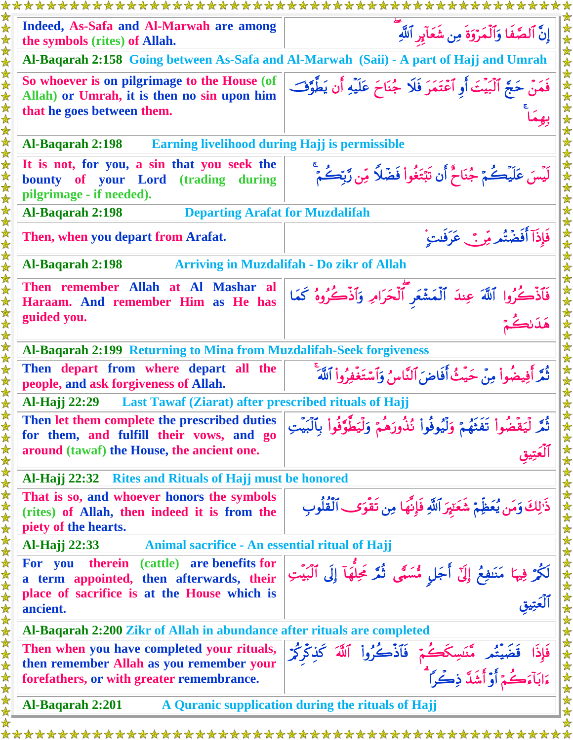|                                                                          | *************************                                                                                          | ********************                                                                                  |  |  |  |
|--------------------------------------------------------------------------|--------------------------------------------------------------------------------------------------------------------|-------------------------------------------------------------------------------------------------------|--|--|--|
|                                                                          | Indeed, As-Safa and Al-Marwah are among<br>the symbols (rites) of Allah.                                           | إِنَّ ٱلصَّفَا وَٱلۡمَرۡوَةَ مِن شَعَآبِرِ ٱللَّٰهِ                                                   |  |  |  |
|                                                                          |                                                                                                                    | Al-Baqarah 2:158 Going between As-Safa and Al-Marwah (Saii) - A part of Hajj and Umrah                |  |  |  |
|                                                                          | So whoever is on pilgrimage to the House (of<br>Allah) or Umrah, it is then no sin upon him                        | فَمَنْ حَجَّ ٱلْبَيْتَ أَوِ ٱعْتَمَرَ فَلَا جُنَاحَ عَلَيْهِ أَن يَطَّوَّفَ                           |  |  |  |
|                                                                          | that he goes between them.                                                                                         |                                                                                                       |  |  |  |
| <b>Earning livelihood during Hajj is permissible</b><br>Al-Baqarah 2:198 |                                                                                                                    |                                                                                                       |  |  |  |
|                                                                          | It is not, for you, a sin that you seek the<br>bounty of your Lord (trading<br>during<br>pilgrimage - if needed).  | لَيْسَ عَلَيْكُمْ جُنَاحٌ أَن تَبْتَغُواْ فَضْلًا مِّن رَّبِّكُمْ                                     |  |  |  |
| <b>Departing Arafat for Muzdalifah</b><br>Al-Baqarah 2:198               |                                                                                                                    |                                                                                                       |  |  |  |
|                                                                          | Then, when you depart from Arafat.                                                                                 | فَإِذَآ أَفَضَّتُم مِّنَّ عَرَفَتٍ ۚ                                                                  |  |  |  |
|                                                                          | Al-Baqarah 2:198                                                                                                   | <b>Arriving in Muzdalifah - Do zikr of Allah</b>                                                      |  |  |  |
|                                                                          | Then remember Allah at Al Mashar al<br>Haraam. And remember Him as He has                                          | فَأَذْكُرُوا ٱللَّهَ عِندَ ٱلْمَشْعَرِ ٱلْحَرَامِ وَٱذْكُرُوهُ كَمَا                                  |  |  |  |
|                                                                          | guided you.                                                                                                        | هَدَ نكُمْ                                                                                            |  |  |  |
|                                                                          | Al-Baqarah 2:199 Returning to Mina from Muzdalifah-Seek forgiveness                                                |                                                                                                       |  |  |  |
|                                                                          | Then depart from where depart all the<br>people, and ask forgiveness of Allah.                                     | ثُمَّر أَفِيضُواْ مِنْ حَيْثُ أَفَاضٍ ٱلنَّاسِ وَٱسْتَغْفِرُواْ ٱللَّهَ                               |  |  |  |
|                                                                          | Last Tawaf (Ziarat) after prescribed rituals of Hajj<br><b>Al-Hajj</b> 22:29                                       |                                                                                                       |  |  |  |
|                                                                          | Then let them complete the prescribed duties<br>for them, and fulfill their vows, and go                           | .<br>ثُمَّر لِّيَقْضُواْ تَفَثَّهُمْ وَلَيُوفُواْ ثُذُورَهُمْ وَلِّيَطَّوَّفُواْ بِٱلْبَيْتِ          |  |  |  |
|                                                                          | around (tawaf) the House, the ancient one.                                                                         |                                                                                                       |  |  |  |
|                                                                          | <b>Rites and Rituals of Hajj must be honored</b><br>Al-Hajj 22:32                                                  |                                                                                                       |  |  |  |
|                                                                          | That is so, and whoever honors the symbols<br>(rites) of Allah, then indeed it is from the<br>piety of the hearts. | ذَٰ لِكَ وَمَن يُعَظِّمْ شَعَتِمَ ٱللَّهِ فَإِنَّهَا مِن تَقْوَى ٱلْقُلُوبِ                           |  |  |  |
|                                                                          | Al-Hajj 22:33<br>Animal sacrifice - An essential ritual of Hajj                                                    |                                                                                                       |  |  |  |
|                                                                          | therein (cattle) are benefits for<br>For you<br>a term appointed, then afterwards, their                           | لَكُمْ فِيهَا مَنَفِعُ إِلَّ أَجَلٍ مُّسَمًّى ثُمَّ غَلُّهَآ إِلَى ٱلَّبَيْتِ<br>ٱلۡعَتِيقِ           |  |  |  |
|                                                                          | place of sacrifice is at the House which is<br>ancient.                                                            |                                                                                                       |  |  |  |
|                                                                          | Al-Baqarah 2:200 Zikr of Allah in abundance after rituals are completed                                            |                                                                                                       |  |  |  |
|                                                                          | Then when you have completed your rituals,<br>then remember Allah as you remember your                             | فَإِذَا قَضَيْتُم مَّنَسِكَكُمْ فَٱذْكُرُواْ ٱللَّهَ كَذِكْرِكُمْ<br>ءَابَآءَكُمْ أَوْأَشَدَّ ذِكْراً |  |  |  |
|                                                                          | forefathers, or with greater remembrance.                                                                          |                                                                                                       |  |  |  |
|                                                                          | Al-Baqarah 2:201<br>A Quranic supplication during the rituals of Hajj                                              |                                                                                                       |  |  |  |
|                                                                          |                                                                                                                    |                                                                                                       |  |  |  |